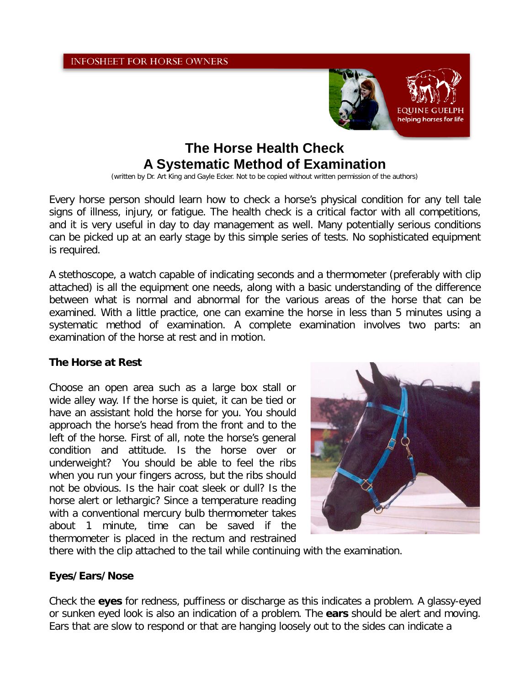

# **The Horse Health Check A Systematic Method of Examination**

(written by Dr. Art King and Gayle Ecker. Not to be copied without written permission of the authors)

Every horse person should learn how to check a horse's physical condition for any tell tale signs of illness, injury, or fatigue. The health check is a critical factor with all competitions, and it is very useful in day to day management as well. Many potentially serious conditions can be picked up at an early stage by this simple series of tests. No sophisticated equipment is required.

A stethoscope, a watch capable of indicating seconds and a thermometer (preferably with clip attached) is all the equipment one needs, along with a basic understanding of the difference between what is normal and abnormal for the various areas of the horse that can be examined. With a little practice, one can examine the horse in less than 5 minutes using a systematic method of examination. A complete examination involves two parts: an examination of the horse at rest and in motion.

# **The Horse at Rest**

Choose an open area such as a large box stall or wide alley way. If the horse is quiet, it can be tied or have an assistant hold the horse for you. You should approach the horse's head from the front and to the left of the horse. First of all, note the horse's general condition and attitude. Is the horse over or underweight? You should be able to feel the ribs when you run your fingers across, but the ribs should not be obvious. Is the hair coat sleek or dull? Is the horse alert or lethargic? Since a temperature reading with a conventional mercury bulb thermometer takes about 1 minute, time can be saved if the thermometer is placed in the rectum and restrained



there with the clip attached to the tail while continuing with the examination.

# **Eyes/Ears/Nose**

Check the **eyes** for redness, puffiness or discharge as this indicates a problem. A glassy-eyed or sunken eyed look is also an indication of a problem. The **ears** should be alert and moving. Ears that are slow to respond or that are hanging loosely out to the sides can indicate a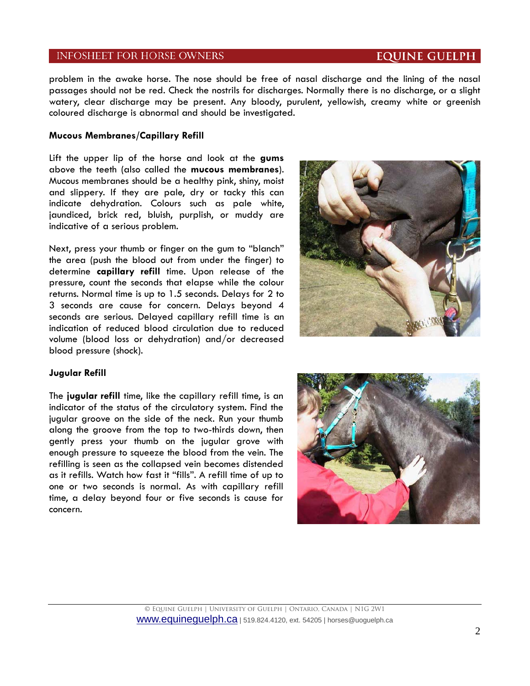problem in the awake horse. The nose should be free of nasal discharge and the lining of the nasal passages should not be red. Check the nostrils for discharges. Normally there is no discharge, or a slight watery, clear discharge may be present. Any bloody, purulent, yellowish, creamy white or greenish coloured discharge is abnormal and should be investigated.

#### **Mucous Membranes/Capillary Refill**

Lift the upper lip of the horse and look at the **gums**  above the teeth (also called the **mucous membranes**). Mucous membranes should be a healthy pink, shiny, moist and slippery. If they are pale, dry or tacky this can indicate dehydration. Colours such as pale white, jaundiced, brick red, bluish, purplish, or muddy are indicative of a serious problem.

Next, press your thumb or finger on the gum to "blanch" the area (push the blood out from under the finger) to determine **capillary refill** time. Upon release of the pressure, count the seconds that elapse while the colour returns. Normal time is up to 1.5 seconds. Delays for 2 to 3 seconds are cause for concern. Delays beyond 4 seconds are serious. Delayed capillary refill time is an indication of reduced blood circulation due to reduced volume (blood loss or dehydration) and/or decreased blood pressure (shock).



#### **Jugular Refill**

The **jugular refill** time, like the capillary refill time, is an indicator of the status of the circulatory system. Find the jugular groove on the side of the neck. Run your thumb along the groove from the top to two-thirds down, then gently press your thumb on the jugular grove with enough pressure to squeeze the blood from the vein. The refilling is seen as the collapsed vein becomes distended as it refills. Watch how fast it "fills". A refill time of up to one or two seconds is normal. As with capillary refill time, a delay beyond four or five seconds is cause for concern.



## **EQUINE GUELPH**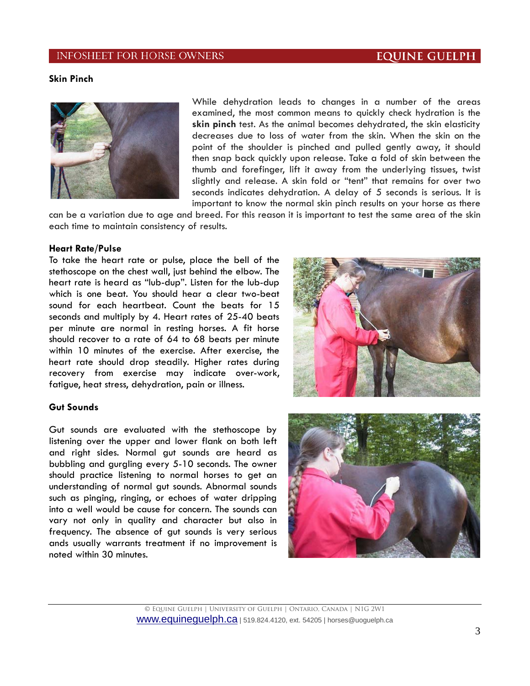## **EQUINE GUELPH**

## **Skin Pinch**



While dehydration leads to changes in a number of the areas examined, the most common means to quickly check hydration is the **skin pinch** test. As the animal becomes dehydrated, the skin elasticity decreases due to loss of water from the skin. When the skin on the point of the shoulder is pinched and pulled gently away, it should then snap back quickly upon release. Take a fold of skin between the thumb and forefinger, lift it away from the underlying tissues, twist slightly and release. A skin fold or "tent" that remains for over two seconds indicates dehydration. A delay of 5 seconds is serious. It is important to know the normal skin pinch results on your horse as there

can be a variation due to age and breed. For this reason it is important to test the same area of the skin each time to maintain consistency of results.

#### **Heart Rate/Pulse**

To take the heart rate or pulse, place the bell of the stethoscope on the chest wall, just behind the elbow. The heart rate is heard as "lub-dup". Listen for the lub-dup which is one beat. You should hear a clear two-beat sound for each heartbeat. Count the beats for 15 seconds and multiply by 4. Heart rates of 25-40 beats per minute are normal in resting horses. A fit horse should recover to a rate of 64 to 68 beats per minute within 10 minutes of the exercise. After exercise, the heart rate should drop steadily. Higher rates during recovery from exercise may indicate over-work, fatigue, heat stress, dehydration, pain or illness.



#### **Gut Sounds**

Gut sounds are evaluated with the stethoscope by listening over the upper and lower flank on both left and right sides. Normal gut sounds are heard as bubbling and gurgling every 5-10 seconds. The owner should practice listening to normal horses to get an understanding of normal gut sounds. Abnormal sounds such as pinging, ringing, or echoes of water dripping into a well would be cause for concern. The sounds can vary not only in quality and character but also in frequency. The absence of gut sounds is very serious ands usually warrants treatment if no improvement is noted within 30 minutes.

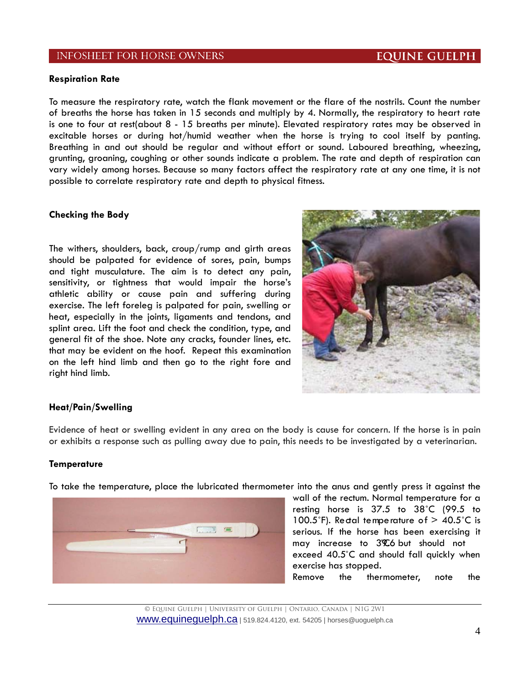# **EQUINE GUELPH**

#### **Respiration Rate**

To measure the respiratory rate, watch the flank movement or the flare of the nostrils. Count the number of breaths the horse has taken in 15 seconds and multiply by 4. Normally, the respiratory to heart rate is one to four at rest(about 8 - 15 breaths per minute). Elevated respiratory rates may be observed in excitable horses or during hot/humid weather when the horse is trying to cool itself by panting. Breathing in and out should be regular and without effort or sound. Laboured breathing, wheezing, grunting, groaning, coughing or other sounds indicate a problem. The rate and depth of respiration can vary widely among horses. Because so many factors affect the respiratory rate at any one time, it is not possible to correlate respiratory rate and depth to physical fitness.

#### **Checking the Body**

The withers, shoulders, back, croup/rump and girth areas should be palpated for evidence of sores, pain, bumps and tight musculature. The aim is to detect any pain, sensitivity, or tightness that would impair the horse's athletic ability or cause pain and suffering during exercise. The left foreleg is palpated for pain, swelling or heat, especially in the joints, ligaments and tendons, and splint area. Lift the foot and check the condition, type, and general fit of the shoe. Note any cracks, founder lines, etc. that may be evident on the hoof. Repeat this examination on the left hind limb and then go to the right fore and right hind limb.



#### **Heat/Pain/Swelling**

Evidence of heat or swelling evident in any area on the body is cause for concern. If the horse is in pain or exhibits a response such as pulling away due to pain, this needs to be investigated by a veterinarian.

#### **Temperature**

To take the temperature, place the lubricated thermometer into the anus and gently press it against the



wall of the rectum. Normal temperature for a resting horse is 37.5 to 38˚C (99.5 to 100.5°F). Redal temperature of  $>$  40.5°C is serious. If the horse has been exercising it may increase to 3%% but should not exceed 40.5˚C and should fall quickly when exercise has stopped. Remove the thermometer, note the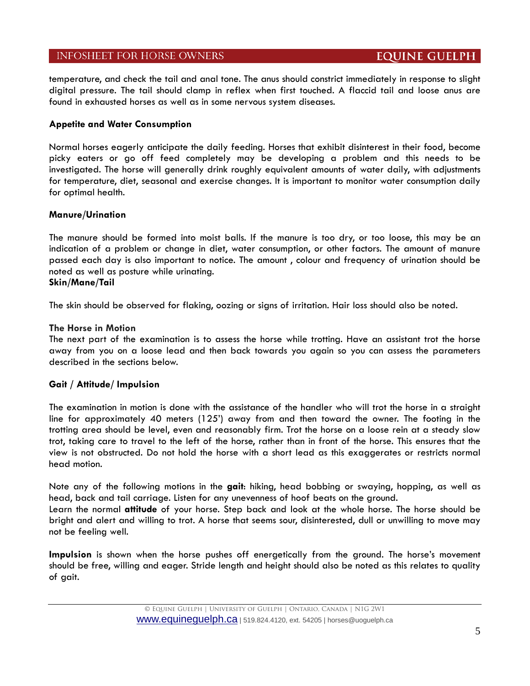# **EQUINE GUELPH**

temperature, and check the tail and anal tone. The anus should constrict immediately in response to slight digital pressure. The tail should clamp in reflex when first touched. A flaccid tail and loose anus are found in exhausted horses as well as in some nervous system diseases.

## **Appetite and Water Consumption**

Normal horses eagerly anticipate the daily feeding. Horses that exhibit disinterest in their food, become picky eaters or go off feed completely may be developing a problem and this needs to be investigated. The horse will generally drink roughly equivalent amounts of water daily, with adjustments for temperature, diet, seasonal and exercise changes. It is important to monitor water consumption daily for optimal health.

## **Manure/Urination**

The manure should be formed into moist balls. If the manure is too dry, or too loose, this may be an indication of a problem or change in diet, water consumption, or other factors. The amount of manure passed each day is also important to notice. The amount , colour and frequency of urination should be noted as well as posture while urinating. **Skin/Mane/Tail**

The skin should be observed for flaking, oozing or signs of irritation. Hair loss should also be noted.

## **The Horse in Motion**

The next part of the examination is to assess the horse while trotting. Have an assistant trot the horse away from you on a loose lead and then back towards you again so you can assess the parameters described in the sections below.

## **Gait / Attitude/ Impulsion**

The examination in motion is done with the assistance of the handler who will trot the horse in a straight line for approximately 40 meters (125') away from and then toward the owner. The footing in the trotting area should be level, even and reasonably firm. Trot the horse on a loose rein at a steady slow trot, taking care to travel to the left of the horse, rather than in front of the horse. This ensures that the view is not obstructed. Do not hold the horse with a short lead as this exaggerates or restricts normal head motion.

Note any of the following motions in the **gait**: hiking, head bobbing or swaying, hopping, as well as head, back and tail carriage. Listen for any unevenness of hoof beats on the ground.

Learn the normal **attitude** of your horse. Step back and look at the whole horse. The horse should be bright and alert and willing to trot. A horse that seems sour, disinterested, dull or unwilling to move may not be feeling well.

**Impulsion** is shown when the horse pushes off energetically from the ground. The horse's movement should be free, willing and eager. Stride length and height should also be noted as this relates to quality of gait.